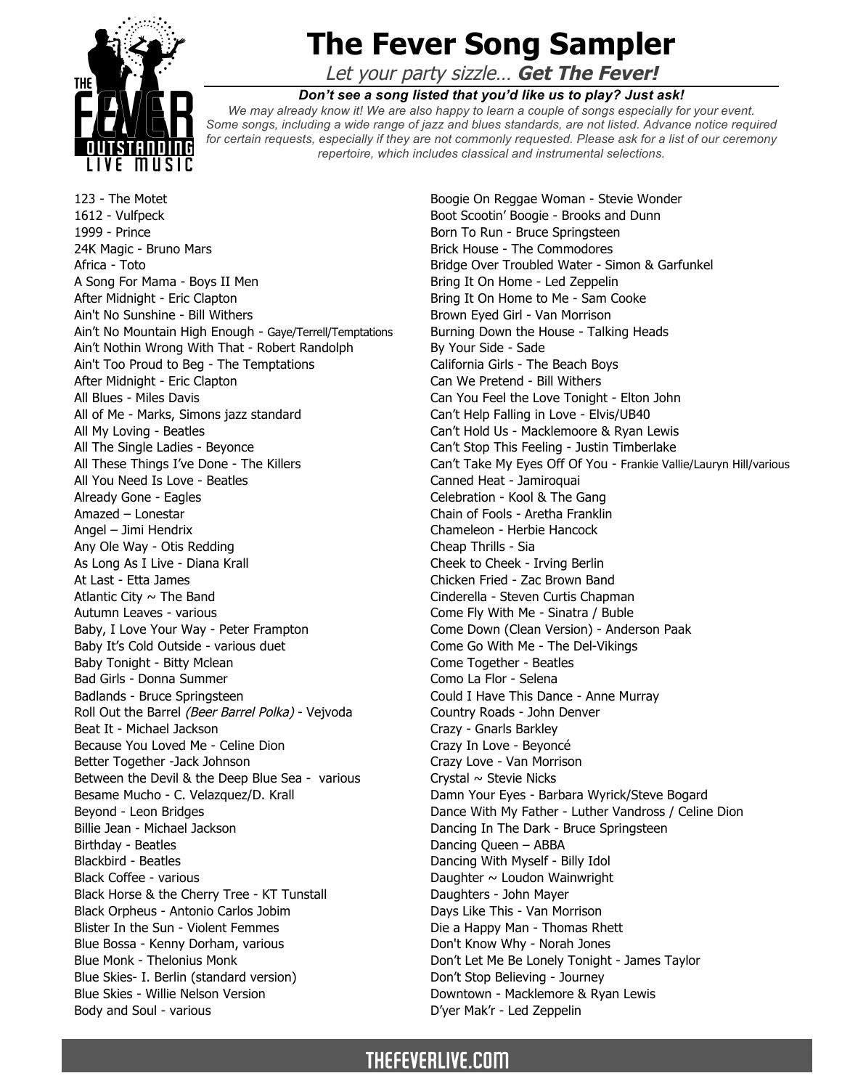

## **The Fever Song Sampler**

Let your party sizzle… **Get The Fever!**

*Don't see a song listed that you'd like us to play? Just ask! We may already know it! We are also happy to learn a couple of songs especially for your event. Some songs, including a wide range of jazz and blues standards, are not listed. Advance notice required for certain requests, especially if they are not commonly requested. Please ask for a list of our ceremony repertoire, which includes classical and instrumental selections.*

123 - The Motet 1612 - Vulfpeck 1999 - Prince 24K Magic - Bruno Mars Africa - Toto A Song For Mama - Boys II Men After Midnight - Eric Clapton Ain't No Sunshine - Bill Withers Ain't No Mountain High Enough - Gaye/Terrell/Temptations Ain't Nothin Wrong With That - Robert Randolph Ain't Too Proud to Beg - The Temptations After Midnight - Eric Clapton All Blues - Miles Davis All of Me - Marks, Simons jazz standard All My Loving - Beatles All The Single Ladies - Beyonce All These Things I've Done - The Killers All You Need Is Love - Beatles Already Gone - Eagles Amazed – Lonestar Angel – Jimi Hendrix Any Ole Way - Otis Redding As Long As I Live - Diana Krall At Last - Etta James Atlantic City  $\sim$  The Band Autumn Leaves - various Baby, I Love Your Way - Peter Frampton Baby It's Cold Outside - various duet Baby Tonight - Bitty Mclean Bad Girls - Donna Summer Badlands - Bruce Springsteen Roll Out the Barrel (Beer Barrel Polka) - Vejvoda Beat It - Michael Jackson Because You Loved Me - Celine Dion Better Together -Jack Johnson Between the Devil & the Deep Blue Sea - various Besame Mucho - C. Velazquez/D. Krall Beyond - Leon Bridges Billie Jean - Michael Jackson Birthday - Beatles Blackbird - Beatles Black Coffee - various Black Horse & the Cherry Tree - KT Tunstall Black Orpheus - Antonio Carlos Jobim Blister In the Sun - Violent Femmes Blue Bossa - Kenny Dorham, various Blue Monk - Thelonius Monk Blue Skies- I. Berlin (standard version) Blue Skies - Willie Nelson Version Body and Soul - various

Boogie On Reggae Woman - Stevie Wonder Boot Scootin' Boogie - Brooks and Dunn Born To Run - Bruce Springsteen Brick House - The Commodores Bridge Over Troubled Water - Simon & Garfunkel Bring It On Home - Led Zeppelin Bring It On Home to Me - Sam Cooke Brown Eyed Girl - Van Morrison Burning Down the House - Talking Heads By Your Side - Sade California Girls - The Beach Boys Can We Pretend - Bill Withers Can You Feel the Love Tonight - Elton John Can't Help Falling in Love - Elvis/UB40 Can't Hold Us - Macklemoore & Ryan Lewis Can't Stop This Feeling - Justin Timberlake Can't Take My Eyes Off Of You - Frankie Vallie/Lauryn Hill/various Canned Heat - Jamiroquai Celebration - Kool & The Gang Chain of Fools - Aretha Franklin Chameleon - Herbie Hancock Cheap Thrills - Sia Cheek to Cheek - Irving Berlin Chicken Fried - Zac Brown Band Cinderella - Steven Curtis Chapman Come Fly With Me - Sinatra / Buble Come Down (Clean Version) - Anderson Paak Come Go With Me - The Del-Vikings Come Together - Beatles Como La Flor - Selena Could I Have This Dance - Anne Murray Country Roads - John Denver Crazy - Gnarls Barkley Crazy In Love - Beyoncé Crazy Love - Van Morrison Crystal  $\sim$  Stevie Nicks Damn Your Eyes - Barbara Wyrick/Steve Bogard Dance With My Father - Luther Vandross / Celine Dion Dancing In The Dark - Bruce Springsteen Dancing Queen – ABBA Dancing With Myself - Billy Idol Daughter  $\sim$  Loudon Wainwright Daughters - John Mayer Days Like This - Van Morrison Die a Happy Man - Thomas Rhett Don't Know Why - Norah Jones Don't Let Me Be Lonely Tonight - James Taylor Don't Stop Believing - Journey Downtown - Macklemore & Ryan Lewis D'yer Mak'r - Led Zeppelin

### THEFEVERLIVE.COM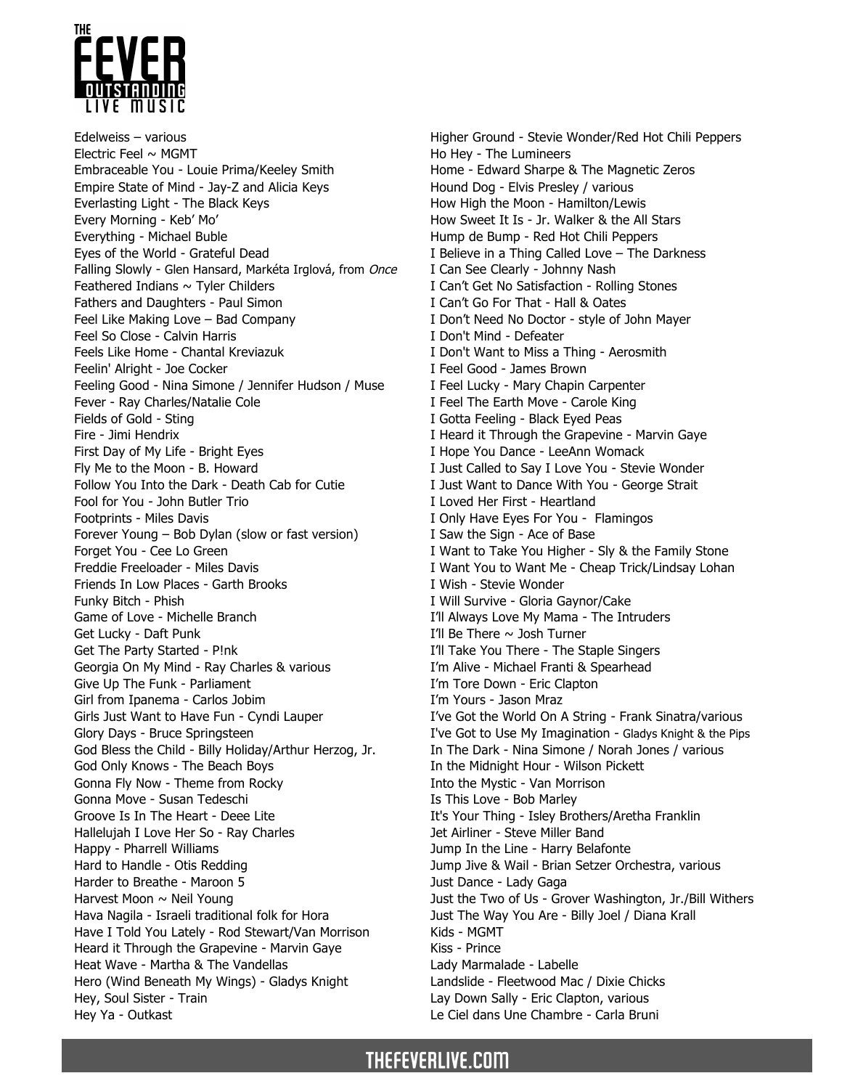# - 111 11 8 1

Edelweiss – various Electric Feel  $\sim$  MGMT Embraceable You - Louie Prima/Keeley Smith Empire State of Mind - Jay-Z and Alicia Keys Everlasting Light - The Black Keys Every Morning - Keb' Mo' Everything - Michael Buble Eyes of the World - Grateful Dead Falling Slowly - Glen Hansard, Markéta Irglová, from Once Feathered Indians  $\sim$  Tyler Childers Fathers and Daughters - Paul Simon Feel Like Making Love – Bad Company Feel So Close - Calvin Harris Feels Like Home - Chantal Kreviazuk Feelin' Alright - Joe Cocker Feeling Good - Nina Simone / Jennifer Hudson / Muse Fever - Ray Charles/Natalie Cole Fields of Gold - Sting Fire - Jimi Hendrix First Day of My Life - Bright Eyes Fly Me to the Moon - B. Howard Follow You Into the Dark - Death Cab for Cutie Fool for You - John Butler Trio Footprints - Miles Davis Forever Young – Bob Dylan (slow or fast version) Forget You - Cee Lo Green Freddie Freeloader - Miles Davis Friends In Low Places - Garth Brooks Funky Bitch - Phish Game of Love - Michelle Branch Get Lucky - Daft Punk Get The Party Started - P!nk Georgia On My Mind - Ray Charles & various Give Up The Funk - Parliament Girl from Ipanema - Carlos Jobim Girls Just Want to Have Fun - Cyndi Lauper Glory Days - Bruce Springsteen God Bless the Child - Billy Holiday/Arthur Herzog, Jr. God Only Knows - The Beach Boys Gonna Fly Now - Theme from Rocky Gonna Move - Susan Tedeschi Groove Is In The Heart - Deee Lite Hallelujah I Love Her So - Ray Charles Happy - Pharrell Williams Hard to Handle - Otis Redding Harder to Breathe - Maroon 5 Harvest Moon ~ Neil Young Hava Nagila - Israeli traditional folk for Hora Have I Told You Lately - Rod Stewart/Van Morrison Heard it Through the Grapevine - Marvin Gaye Heat Wave - Martha & The Vandellas Hero (Wind Beneath My Wings) - Gladys Knight Hey, Soul Sister - Train Hey Ya - Outkast

Higher Ground - Stevie Wonder/Red Hot Chili Peppers Ho Hey - The Lumineers Home - Edward Sharpe & The Magnetic Zeros Hound Dog - Elvis Presley / various How High the Moon - Hamilton/Lewis How Sweet It Is - Jr. Walker & the All Stars Hump de Bump - Red Hot Chili Peppers I Believe in a Thing Called Love – The Darkness I Can See Clearly - Johnny Nash I Can't Get No Satisfaction - Rolling Stones I Can't Go For That - Hall & Oates I Don't Need No Doctor - style of John Mayer I Don't Mind - Defeater I Don't Want to Miss a Thing - Aerosmith I Feel Good - James Brown I Feel Lucky - Mary Chapin Carpenter I Feel The Earth Move - Carole King I Gotta Feeling - Black Eyed Peas I Heard it Through the Grapevine - Marvin Gaye I Hope You Dance - LeeAnn Womack I Just Called to Say I Love You - Stevie Wonder I Just Want to Dance With You - George Strait I Loved Her First - Heartland I Only Have Eyes For You - Flamingos I Saw the Sign - Ace of Base I Want to Take You Higher - Sly & the Family Stone I Want You to Want Me - Cheap Trick/Lindsay Lohan I Wish - Stevie Wonder I Will Survive - Gloria Gaynor/Cake I'll Always Love My Mama - The Intruders I'll Be There  $\sim$  Josh Turner I'll Take You There - The Staple Singers I'm Alive - Michael Franti & Spearhead I'm Tore Down - Eric Clapton I'm Yours - Jason Mraz I've Got the World On A String - Frank Sinatra/various I've Got to Use My Imagination - Gladys Knight & the Pips In The Dark - Nina Simone / Norah Jones / various In the Midnight Hour - Wilson Pickett Into the Mystic - Van Morrison Is This Love - Bob Marley It's Your Thing - Isley Brothers/Aretha Franklin Jet Airliner - Steve Miller Band Jump In the Line - Harry Belafonte Jump Jive & Wail - Brian Setzer Orchestra, various Just Dance - Lady Gaga Just the Two of Us - Grover Washington, Jr./Bill Withers Just The Way You Are - Billy Joel / Diana Krall Kids - MGMT Kiss - Prince Lady Marmalade - Labelle Landslide - Fleetwood Mac / Dixie Chicks Lay Down Sally - Eric Clapton, various Le Ciel dans Une Chambre - Carla Bruni

### THEFEVERLIVE.COM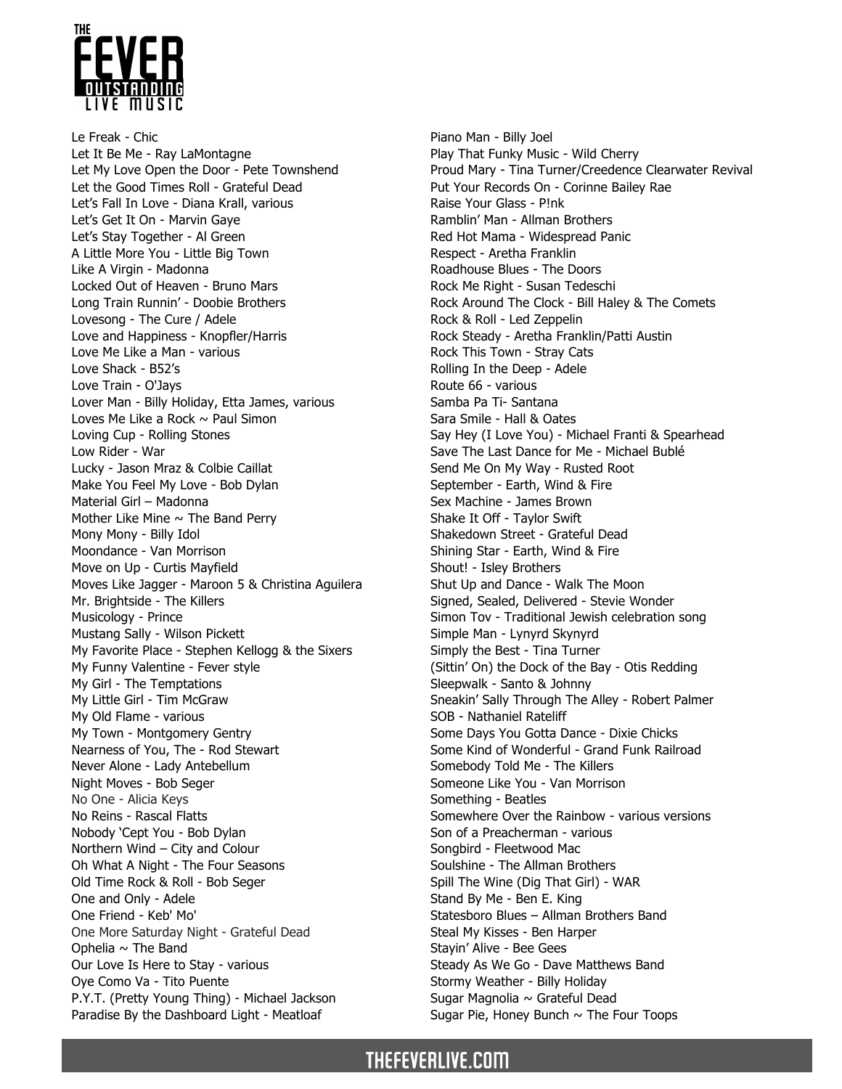

Le Freak - Chic Let It Be Me - Ray LaMontagne Let My Love Open the Door - Pete Townshend Let the Good Times Roll - Grateful Dead Let's Fall In Love - Diana Krall, various Let's Get It On - Marvin Gaye Let's Stay Together - Al Green A Little More You - Little Big Town Like A Virgin - Madonna Locked Out of Heaven - Bruno Mars Long Train Runnin' - Doobie Brothers Lovesong - The Cure / Adele Love and Happiness - Knopfler/Harris Love Me Like a Man - various Love Shack - B52's Love Train - O'Jays Lover Man - Billy Holiday, Etta James, various Loves Me Like a Rock  $\sim$  Paul Simon Loving Cup - Rolling Stones Low Rider - War Lucky - Jason Mraz & Colbie Caillat Make You Feel My Love - Bob Dylan Material Girl – Madonna Mother Like Mine  $\sim$  The Band Perry Mony Mony - Billy Idol Moondance - Van Morrison Move on Up - Curtis Mayfield Moves Like Jagger - Maroon 5 & Christina Aguilera Mr. Brightside - The Killers Musicology - Prince Mustang Sally - Wilson Pickett My Favorite Place - Stephen Kellogg & the Sixers My Funny Valentine - Fever style My Girl - The Temptations My Little Girl - Tim McGraw My Old Flame - various My Town - Montgomery Gentry Nearness of You, The - Rod Stewart Never Alone - Lady Antebellum Night Moves - Bob Seger No One - Alicia Keys No Reins - Rascal Flatts Nobody 'Cept You - Bob Dylan Northern Wind – City and Colour Oh What A Night - The Four Seasons Old Time Rock & Roll - Bob Seger One and Only - Adele One Friend - Keb' Mo' One More Saturday Night - Grateful Dead Ophelia  $\sim$  The Band Our Love Is Here to Stay - various Oye Como Va - Tito Puente P.Y.T. (Pretty Young Thing) - Michael Jackson Paradise By the Dashboard Light - Meatloaf

Piano Man - Billy Joel Play That Funky Music - Wild Cherry Proud Mary - Tina Turner/Creedence Clearwater Revival Put Your Records On - Corinne Bailey Rae Raise Your Glass - P!nk Ramblin' Man - Allman Brothers Red Hot Mama - Widespread Panic Respect - Aretha Franklin Roadhouse Blues - The Doors Rock Me Right - Susan Tedeschi Rock Around The Clock - Bill Haley & The Comets Rock & Roll - Led Zeppelin Rock Steady - Aretha Franklin/Patti Austin Rock This Town - Stray Cats Rolling In the Deep - Adele Route 66 - various Samba Pa Ti- Santana Sara Smile - Hall & Oates Say Hey (I Love You) - Michael Franti & Spearhead Save The Last Dance for Me - Michael Bublé Send Me On My Way - Rusted Root September - Earth, Wind & Fire Sex Machine - James Brown Shake It Off - Taylor Swift Shakedown Street - Grateful Dead Shining Star - Earth, Wind & Fire Shout! - Isley Brothers Shut Up and Dance - Walk The Moon Signed, Sealed, Delivered - Stevie Wonder Simon Tov - Traditional Jewish celebration song Simple Man - Lynyrd Skynyrd Simply the Best - Tina Turner (Sittin' On) the Dock of the Bay - Otis Redding Sleepwalk - Santo & Johnny Sneakin' Sally Through The Alley - Robert Palmer SOB - Nathaniel Rateliff Some Days You Gotta Dance - Dixie Chicks Some Kind of Wonderful - Grand Funk Railroad Somebody Told Me - The Killers Someone Like You - Van Morrison Something - Beatles Somewhere Over the Rainbow - various versions Son of a Preacherman - various Songbird - Fleetwood Mac Soulshine - The Allman Brothers Spill The Wine (Dig That Girl) - WAR Stand By Me - Ben E. King Statesboro Blues – Allman Brothers Band Steal My Kisses - Ben Harper Stayin' Alive - Bee Gees Steady As We Go - Dave Matthews Band Stormy Weather - Billy Holiday Sugar Magnolia ~ Grateful Dead Sugar Pie, Honey Bunch  $\sim$  The Four Toops

#### THEFEVERLIVE.COM